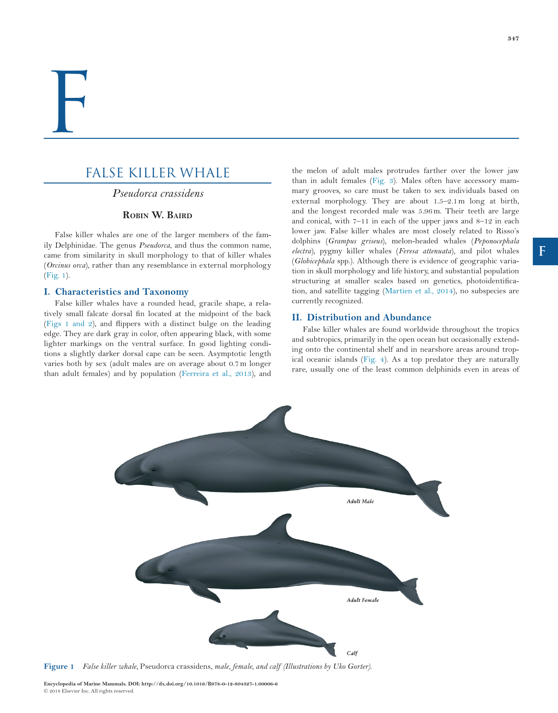# FALSE KILLER WHALE

*Pseudorca crassidens*

# **Robin W. Baird**

False killer whales are one of the larger members of the family Delphinidae. The genus *Pseudorca*, and thus the common name, came from similarity in skull morphology to that of killer whales (*Orcinus orca*), rather than any resemblance in external morphology (Fig. 1).

# **I. Characteristics and Taxonomy**

False killer whales have a rounded head, gracile shape, a relatively small falcate dorsal fin located at the midpoint of the back (Figs 1 and 2), and flippers with a distinct bulge on the leading edge. They are dark gray in color, often appearing black, with some lighter markings on the ventral surface. In good lighting conditions a slightly darker dorsal cape can be seen. Asymptotic length varies both by sex (adult males are on average about 0.7m longer than adult females) and by population (Ferreira et al., 2013), and the melon of adult males protrudes farther over the lower jaw than in adult females (Fig. 3). Males often have accessory mammary grooves, so care must be taken to sex individuals based on external morphology. They are about 1.5–2.1m long at birth, and the longest recorded male was 5.96m. Their teeth are large and conical, with  $7-11$  in each of the upper jaws and  $8-12$  in each lower jaw. False killer whales are most closely related to Risso's dolphins (*Grampus griseus*), melon-headed whales (*Peponocephala electra*), pygmy killer whales (*Feresa attenuata*), and pilot whales (*Globicephala* spp.). Although there is evidence of geographic variation in skull morphology and life history, and substantial population structuring at smaller scales based on genetics, photoidentification, and satellite tagging (Martien et al., 2014), no subspecies are currently recognized.

# **II. Distribution and Abundance**

Adult Male

**Adult Female** 

False killer whales are found worldwide throughout the tropics and subtropics, primarily in the open ocean but occasionally extending onto the continental shelf and in nearshore areas around tropical oceanic islands (Fig. 4). As a top predator they are naturally rare, usually one of the least common delphinids even in areas of

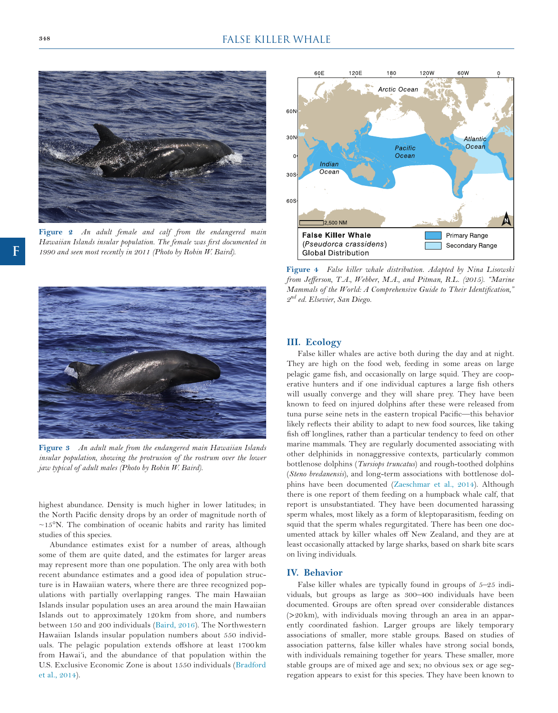

**Figure 2** *An adult female and calf from the endangered main Hawaiian Islands insular population. The female was first documented in 1990 and seen most recently in 2011 (Photo by Robin W. Baird).*



**Figure 3** *An adult male from the endangered main Hawaiian Islands insular population, showing the protrusion of the rostrum over the lower jaw typical of adult males (Photo by Robin W. Baird).*

highest abundance. Density is much higher in lower latitudes; in the North Pacific density drops by an order of magnitude north of  $\sim$ 15°N. The combination of oceanic habits and rarity has limited studies of this species.

Abundance estimates exist for a number of areas, although some of them are quite dated, and the estimates for larger areas may represent more than one population. The only area with both recent abundance estimates and a good idea of population structure is in Hawaiian waters, where there are three recognized populations with partially overlapping ranges. The main Hawaiian Islands insular population uses an area around the main Hawaiian Islands out to approximately 120 km from shore, and numbers between 150 and 200 individuals (Baird, 2016). The Northwestern Hawaiian Islands insular population numbers about 550 individuals. The pelagic population extends offshore at least 1700 km from Hawai'i, and the abundance of that population within the U.S. Exclusive Economic Zone is about 1550 individuals (Bradford et al., 2014).



**Figure 4** *False killer whale distribution. Adapted by Nina Lisowski from Jefferson, T.A., Webber, M.A., and Pitman, R.L. (2015). "Marine Mammals of the World: A Comprehensive Guide to Their Identification," 2nd ed. Elsevier, San Diego.*

# **III. Ecology**

False killer whales are active both during the day and at night. They are high on the food web, feeding in some areas on large pelagic game fish, and occasionally on large squid. They are cooperative hunters and if one individual captures a large fish others will usually converge and they will share prey. They have been known to feed on injured dolphins after these were released from tuna purse seine nets in the eastern tropical Pacific—this behavior likely reflects their ability to adapt to new food sources, like taking fish off longlines, rather than a particular tendency to feed on other marine mammals. They are regularly documented associating with other delphinids in nonaggressive contexts, particularly common bottlenose dolphins (*Tursiops truncatus*) and rough-toothed dolphins (*Steno bredanensis*), and long-term associations with bottlenose dolphins have been documented (Zaeschmar et al., 2014). Although there is one report of them feeding on a humpback whale calf, that report is unsubstantiated. They have been documented harassing sperm whales, most likely as a form of kleptoparasitism, feeding on squid that the sperm whales regurgitated. There has been one documented attack by killer whales off New Zealand, and they are at least occasionally attacked by large sharks, based on shark bite scars on living individuals.

### **IV. Behavior**

False killer whales are typically found in groups of 5–25 individuals, but groups as large as 300–400 individuals have been documented. Groups are often spread over considerable distances (>20km), with individuals moving through an area in an apparently coordinated fashion. Larger groups are likely temporary associations of smaller, more stable groups. Based on studies of association patterns, false killer whales have strong social bonds, with individuals remaining together for years. These smaller, more stable groups are of mixed age and sex; no obvious sex or age segregation appears to exist for this species. They have been known to